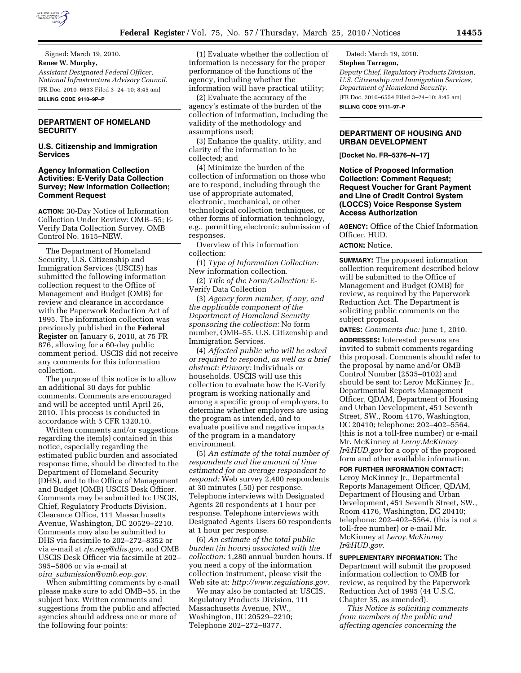

Signed: March 19, 2010. **Renee W. Murphy,**  *Assistant Designated Federal Officer, National Infrastructure Advisory Council.*  [FR Doc. 2010–6633 Filed 3–24–10; 8:45 am] **BILLING CODE 9110–9P–P** 

# **DEPARTMENT OF HOMELAND SECURITY**

**U.S. Citizenship and Immigration Services** 

## **Agency Information Collection Activities: E-Verify Data Collection Survey; New Information Collection; Comment Request**

**ACTION:** 30-Day Notice of Information Collection Under Review: OMB–55; E-Verify Data Collection Survey. OMB Control No. 1615–NEW.

The Department of Homeland Security, U.S. Citizenship and Immigration Services (USCIS) has submitted the following information collection request to the Office of Management and Budget (OMB) for review and clearance in accordance with the Paperwork Reduction Act of 1995. The information collection was previously published in the **Federal Register** on January 6, 2010, at 75 FR 876, allowing for a 60-day public comment period. USCIS did not receive any comments for this information collection.

The purpose of this notice is to allow an additional 30 days for public comments. Comments are encouraged and will be accepted until April 26, 2010. This process is conducted in accordance with 5 CFR 1320.10.

Written comments and/or suggestions regarding the item(s) contained in this notice, especially regarding the estimated public burden and associated response time, should be directed to the Department of Homeland Security (DHS), and to the Office of Management and Budget (OMB) USCIS Desk Officer. Comments may be submitted to: USCIS, Chief, Regulatory Products Division, Clearance Office, 111 Massachusetts Avenue, Washington, DC 20529–2210. Comments may also be submitted to DHS via facsimile to 202–272–8352 or via e-mail at *rfs.regs@dhs.gov*, and OMB USCIS Desk Officer via facsimile at 202– 395–5806 or via e-mail at *oira*\_*submission@omb.eop.gov.* 

When submitting comments by e-mail please make sure to add OMB–55. in the subject box. Written comments and suggestions from the public and affected agencies should address one or more of the following four points:

(1) Evaluate whether the collection of information is necessary for the proper performance of the functions of the agency, including whether the information will have practical utility;

(2) Evaluate the accuracy of the agency's estimate of the burden of the collection of information, including the validity of the methodology and assumptions used;

(3) Enhance the quality, utility, and clarity of the information to be collected; and

(4) Minimize the burden of the collection of information on those who are to respond, including through the use of appropriate automated, electronic, mechanical, or other technological collection techniques, or other forms of information technology, e.g., permitting electronic submission of responses.

Overview of this information collection:

(1) *Type of Information Collection:*  New information collection.

(2) *Title of the Form/Collection:* E-Verify Data Collection

(3) *Agency form number, if any, and the applicable component of the Department of Homeland Security sponsoring the collection:* No form number, OMB–55. U.S. Citizenship and Immigration Services.

(4) *Affected public who will be asked or required to respond, as well as a brief abstract: Primary:* Individuals or households. USCIS will use this collection to evaluate how the E-Verify program is working nationally and among a specific group of employers, to determine whether employers are using the program as intended, and to evaluate positive and negative impacts of the program in a mandatory environment.

(5) *An estimate of the total number of respondents and the amount of time estimated for an average respondent to respond:* Web survey 2,400 respondents at 30 minutes (.50) per response. Telephone interviews with Designated Agents 20 respondents at 1 hour per response. Telephone interviews with Designated Agents Users 60 respondents at 1 hour per response.

(6) *An estimate of the total public burden (in hours) associated with the collection:* 1,280 annual burden hours. If you need a copy of the information collection instrument, please visit the Web site at: *http://www.regulations.gov*.

We may also be contacted at: USCIS, Regulatory Products Division, 111 Massachusetts Avenue, NW., Washington, DC 20529–2210; Telephone 202–272–8377.

Dated: March 19, 2010. **Stephen Tarragon,** 

*Deputy Chief, Regulatory Products Division, U.S. Citizenship and Immigration Services, Department of Homeland Security.* 

[FR Doc. 2010–6554 Filed 3–24–10; 8:45 am] **BILLING CODE 9111–97–P** 

## **DEPARTMENT OF HOUSING AND URBAN DEVELOPMENT**

**[Docket No. FR–5376–N–17]** 

**Notice of Proposed Information Collection: Comment Request; Request Voucher for Grant Payment and Line of Credit Control System (LOCCS) Voice Response System Access Authorization** 

**AGENCY:** Office of the Chief Information Officer, HUD.

## **ACTION:** Notice.

**SUMMARY:** The proposed information collection requirement described below will be submitted to the Office of Management and Budget (OMB) for review, as required by the Paperwork Reduction Act. The Department is soliciting public comments on the subject proposal.

**DATES:** *Comments due:* June 1, 2010. **ADDRESSES:** Interested persons are invited to submit comments regarding this proposal. Comments should refer to the proposal by name and/or OMB Control Number (2535–0102) and should be sent to: Leroy McKinney Jr., Departmental Reports Management Officer, QDAM, Department of Housing and Urban Development, 451 Seventh Street, SW., Room 4176, Washington, DC 20410; telephone: 202–402–5564, (this is not a toll-free number) or e-mail Mr. McKinney at *Leroy.McKinney Jr@HUD.gov* for a copy of the proposed form and other available information.

**FOR FURTHER INFORMATION CONTACT:**  Leroy McKinney Jr., Departmental Reports Management Officer, QDAM, Department of Housing and Urban Development, 451 Seventh Street, SW., Room 4176, Washington, DC 20410; telephone: 202–402–5564, (this is not a toll-free number) or e-mail Mr. McKinney at *Leroy.McKinney Jr@HUD.gov*.

**SUPPLEMENTARY INFORMATION:** The Department will submit the proposed information collection to OMB for review, as required by the Paperwork Reduction Act of 1995 (44 U.S.C. Chapter 35, as amended).

*This Notice is soliciting comments from members of the public and affecting agencies concerning the*